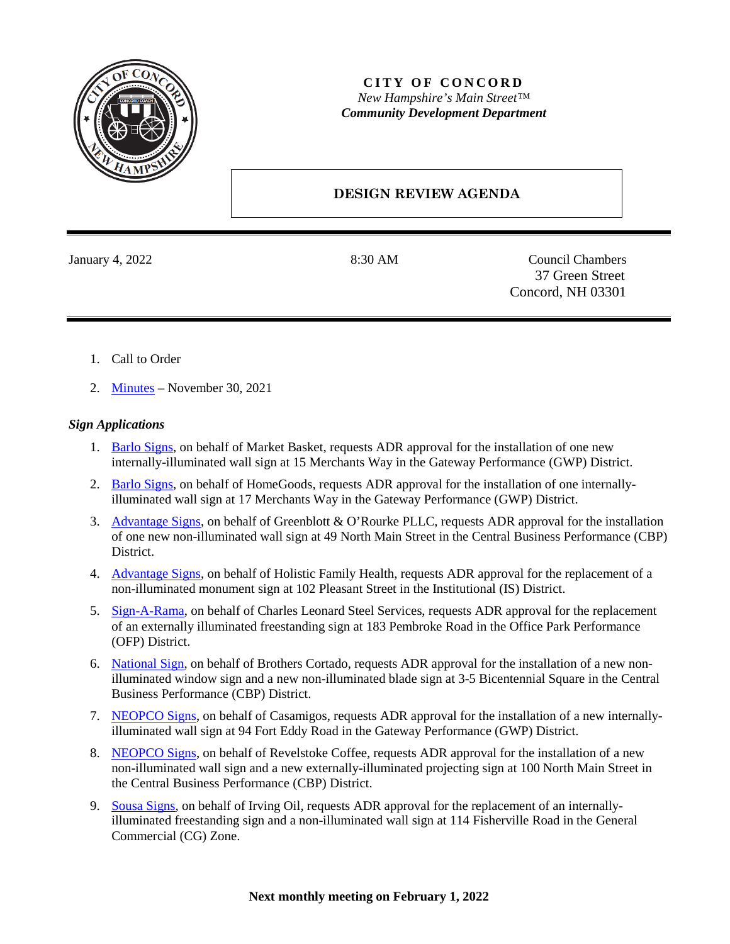

## **CITY OF CONCORD** *New Hampshire's Main Street™ Community Development Department*

## **DESIGN REVIEW AGENDA**

January 4, 2022 8:30 AM Council Chambers 37 Green Street Concord, NH 03301

- 1. Call to Order
- 2. [Minutes](https://www.concordnh.gov/DocumentCenter/View/18203/11302021) November 30, 2021

## *Sign Applications*

- 1. Barlo [Signs,](https://www.concordnh.gov/DocumentCenter/View/18207/15-Merchants-Way---Market-Basket---1-sign-for-ADR) on behalf of Market Basket, requests ADR approval for the installation of one new internally-illuminated wall sign at 15 Merchants Way in the Gateway Performance (GWP) District.
- 2. Barlo [Signs,](https://www.concordnh.gov/DocumentCenter/View/18208/17-Merchants-Way---Homegoods---1-sign-for-ADR) on behalf of HomeGoods, requests ADR approval for the installation of one internallyilluminated wall sign at 17 Merchants Way in the Gateway Performance (GWP) District.
- 3. [Advantage Signs,](https://www.concordnh.gov/DocumentCenter/View/18209/49-N-Main-St---Greenblott-ORourke---1-sign-for-ADR) on behalf of Greenblott & O'Rourke PLLC, requests ADR approval for the installation of one new non-illuminated wall sign at 49 North Main Street in the Central Business Performance (CBP) District.
- 4. [Advantage Signs,](https://www.concordnh.gov/DocumentCenter/View/18210/102-Pleasant-St---1-sign-for-ADR) on behalf of Holistic Family Health, requests ADR approval for the replacement of a non-illuminated monument sign at 102 Pleasant Street in the Institutional (IS) District.
- 5. [Sign-A-Rama,](https://www.concordnh.gov/DocumentCenter/View/18206/183-Pembroke-Rd---1-sign-for-ADR) on behalf of Charles Leonard Steel Services, requests ADR approval for the replacement of an externally illuminated freestanding sign at 183 Pembroke Road in the Office Park Performance (OFP) District.
- 6. [National Sign,](https://www.concordnh.gov/DocumentCenter/View/18248/3-5-Bicentennial-Square---Brothers-Cortado---2-signs-for-ADR) on behalf of Brothers Cortado, requests ADR approval for the installation of a new nonilluminated window sign and a new non-illuminated blade sign at 3-5 Bicentennial Square in the Central Business Performance (CBP) District.
- 7. [NEOPCO Signs,](https://www.concordnh.gov/DocumentCenter/View/18245/94-Fort-Eddy-Rd---Casamigos---1-sign-for-ADR) on behalf of Casamigos, requests ADR approval for the installation of a new internallyilluminated wall sign at 94 Fort Eddy Road in the Gateway Performance (GWP) District.
- 8. [NEOPCO Signs,](https://www.concordnh.gov/DocumentCenter/View/18246/100-N-Main-St---Revelstoke---2-for-ADR) on behalf of Revelstoke Coffee, requests ADR approval for the installation of a new non-illuminated wall sign and a new externally-illuminated projecting sign at 100 North Main Street in the Central Business Performance (CBP) District.
- 9. [Sousa Signs,](https://www.concordnh.gov/DocumentCenter/View/18244/114-Fisherville-Rd---Irving---2-signs-for-ADR) on behalf of Irving Oil, requests ADR approval for the replacement of an internallyilluminated freestanding sign and a non-illuminated wall sign at 114 Fisherville Road in the General Commercial (CG) Zone.